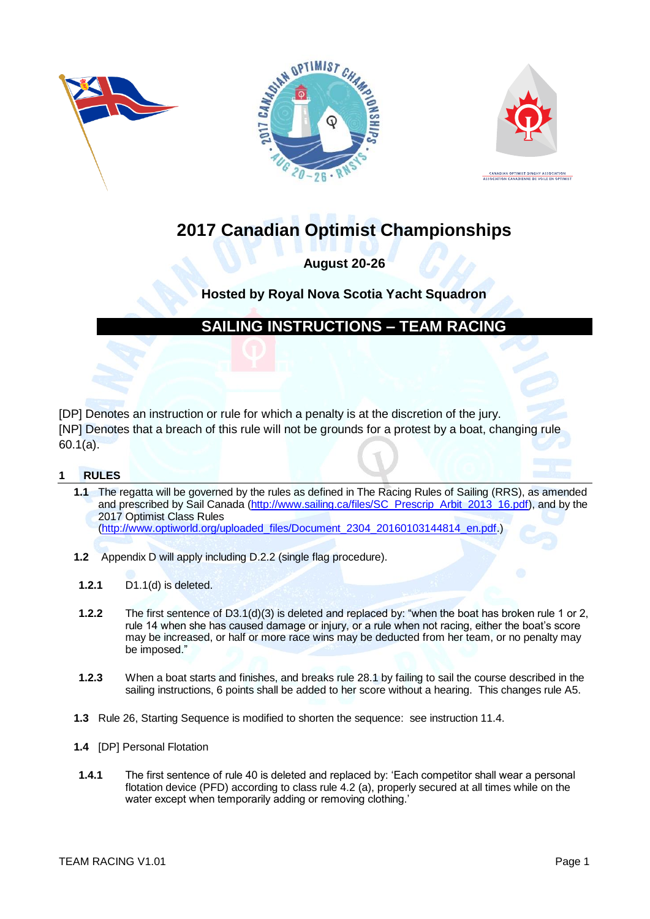





# **2017 Canadian Optimist Championships**

## **August 20-26**

## **Hosted by Royal Nova Scotia Yacht Squadron**

## **SAILING INSTRUCTIONS – TEAM RACING**

[DP] Denotes an instruction or rule for which a penalty is at the discretion of the jury. [NP] Denotes that a breach of this rule will not be grounds for a protest by a boat, changing rule 60.1(a).

## **1 RULES**

**1.1** The regatta will be governed by the rules as defined in The Racing Rules of Sailing (RRS), as amended and prescribed by Sail Canada [\(http://www.sailing.ca/files/SC\\_Prescrip\\_Arbit\\_2013\\_16.pdf\)](http://www.sailing.ca/files/SC_Prescrip_Arbit_2013_16.pdf), and by the 2017 Optimist Class Rules

[\(http://www.optiworld.org/uploaded\\_files/Document\\_2304\\_20160103144814\\_en.pdf.](http://www.optiworld.org/uploaded_files/Document_2304_20160103144814_en.pdf))

- **1.2** Appendix D will apply including D.2.2 (single flag procedure).
- **1.2.1** D1.1(d) is deleted.
- **1.2.2** The first sentence of D3.1(d)(3) is deleted and replaced by: "when the boat has broken rule 1 or 2, rule 14 when she has caused damage or injury, or a rule when not racing, either the boat's score may be increased, or half or more race wins may be deducted from her team, or no penalty may be imposed."
- **1.2.3** When a boat starts and finishes, and breaks rule 28.1 by failing to sail the course described in the sailing instructions, 6 points shall be added to her score without a hearing. This changes rule A5.
- **1.3** Rule 26, Starting Sequence is modified to shorten the sequence: see instruction [11.4.](#page-2-0)
- **1.4** [DP] Personal Flotation
- **1.4.1** The first sentence of rule 40 is deleted and replaced by: 'Each competitor shall wear a personal flotation device (PFD) according to class rule 4.2 (a), properly secured at all times while on the water except when temporarily adding or removing clothing.'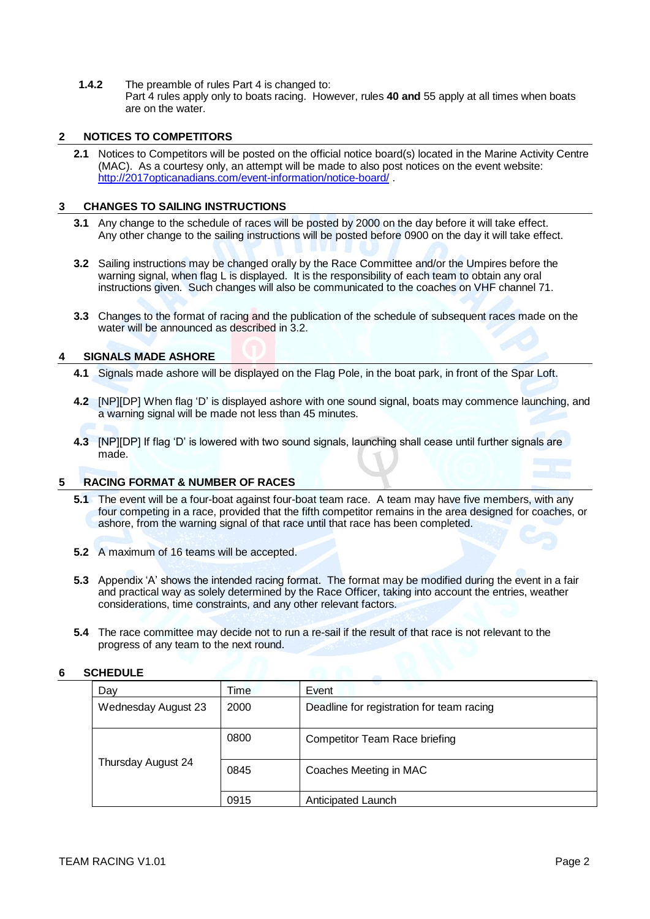**1.4.2** The preamble of rules Part 4 is changed to: Part 4 rules apply only to boats racing. However, rules **40 and** 55 apply at all times when boats are on the water.

## **2 NOTICES TO COMPETITORS**

**2.1** Notices to Competitors will be posted on the official notice board(s) located in the Marine Activity Centre (MAC). As a courtesy only, an attempt will be made to also post notices on the event website: <http://2017opticanadians.com/event-information/notice-board/> .

### **3 CHANGES TO SAILING INSTRUCTIONS**

- **3.1** Any change to the schedule of races will be posted by 2000 on the day before it will take effect. Any other change to the sailing instructions will be posted before 0900 on the day it will take effect.
- <span id="page-1-0"></span>**3.2** Sailing instructions may be changed orally by the Race Committee and/or the Umpires before the warning signal, when flag L is displayed. It is the responsibility of each team to obtain any oral instructions given. Such changes will also be communicated to the coaches on VHF channel 71.
- **3.3** Changes to the format of racing and the publication of the schedule of subsequent races made on the water will be announced as described in [3.2.](#page-1-0)

## **4 SIGNALS MADE ASHORE**

- **4.1** Signals made ashore will be displayed on the Flag Pole, in the boat park, in front of the Spar Loft.
- **4.2** [NP][DP] When flag 'D' is displayed ashore with one sound signal, boats may commence launching, and a warning signal will be made not less than 45 minutes.
- **4.3** [NP][DP] If flag 'D' is lowered with two sound signals, launching shall cease until further signals are made.

## **5 RACING FORMAT & NUMBER OF RACES**

- **5.1** The event will be a four-boat against four-boat team race. A team may have five members, with any four competing in a race, provided that the fifth competitor remains in the area designed for coaches, or ashore, from the warning signal of that race until that race has been completed.
- **5.2** A maximum of 16 teams will be accepted.
- **5.3** Appendix 'A' shows the intended racing format. The format may be modified during the event in a fair and practical way as solely determined by the Race Officer, taking into account the entries, weather considerations, time constraints, and any other relevant factors.
- **5.4** The race committee may decide not to run a re-sail if the result of that race is not relevant to the progress of any team to the next round.

## **6 SCHEDULE**

| Day                 | Time | Event                                     |
|---------------------|------|-------------------------------------------|
| Wednesday August 23 | 2000 | Deadline for registration for team racing |
|                     | 0800 | <b>Competitor Team Race briefing</b>      |
| Thursday August 24  | 0845 | Coaches Meeting in MAC                    |
|                     | 0915 | Anticipated Launch                        |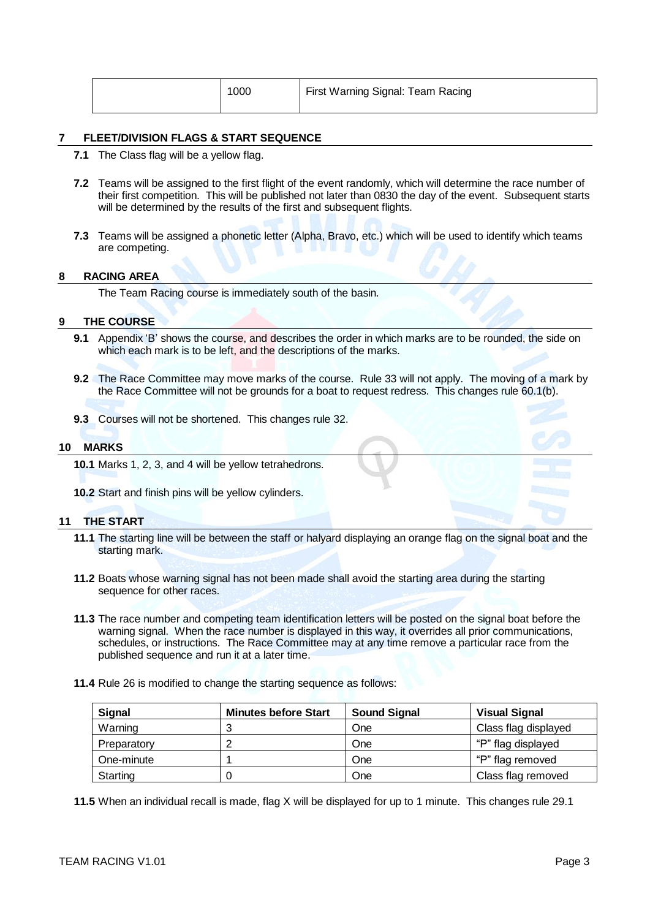|  | 1000 | First Warning Signal: Team Racing |
|--|------|-----------------------------------|
|  |      |                                   |

#### **7 FLEET/DIVISION FLAGS & START SEQUENCE**

- **7.1** The Class flag will be a yellow flag.
- **7.2** Teams will be assigned to the first flight of the event randomly, which will determine the race number of their first competition. This will be published not later than 0830 the day of the event. Subsequent starts will be determined by the results of the first and subsequent flights.
- **7.3** Teams will be assigned a phonetic letter (Alpha, Bravo, etc.) which will be used to identify which teams are competing.

#### **8 RACING AREA**

The Team Racing course is immediately south of the basin.

#### **9 THE COURSE**

- **9.1** Appendix 'B' shows the course, and describes the order in which marks are to be rounded, the side on which each mark is to be left, and the descriptions of the marks.
- **9.2** The Race Committee may move marks of the course. Rule 33 will not apply. The moving of a mark by the Race Committee will not be grounds for a boat to request redress. This changes rule 60.1(b).
- **9.3** Courses will not be shortened. This changes rule 32.

#### **10 MARKS**

**10.1** Marks 1, 2, 3, and 4 will be yellow tetrahedrons.

**10.2** Start and finish pins will be yellow cylinders.

#### **11 THE START**

- **11.1** The starting line will be between the staff or halyard displaying an orange flag on the signal boat and the starting mark.
- **11.2** Boats whose warning signal has not been made shall avoid the starting area during the starting sequence for other races.
- **11.3** The race number and competing team identification letters will be posted on the signal boat before the warning signal. When the race number is displayed in this way, it overrides all prior communications, schedules, or instructions. The Race Committee may at any time remove a particular race from the published sequence and run it at a later time.
- <span id="page-2-0"></span>**11.4** Rule 26 is modified to change the starting sequence as follows:

| Signal      | <b>Minutes before Start</b> | <b>Sound Signal</b> | <b>Visual Signal</b> |
|-------------|-----------------------------|---------------------|----------------------|
| Warning     | J                           | One                 | Class flag displayed |
| Preparatory |                             | One                 | "P" flag displayed   |
| One-minute  |                             | One                 | "P" flag removed     |
| Starting    |                             | One                 | Class flag removed   |

**11.5** When an individual recall is made, flag X will be displayed for up to 1 minute. This changes rule 29.1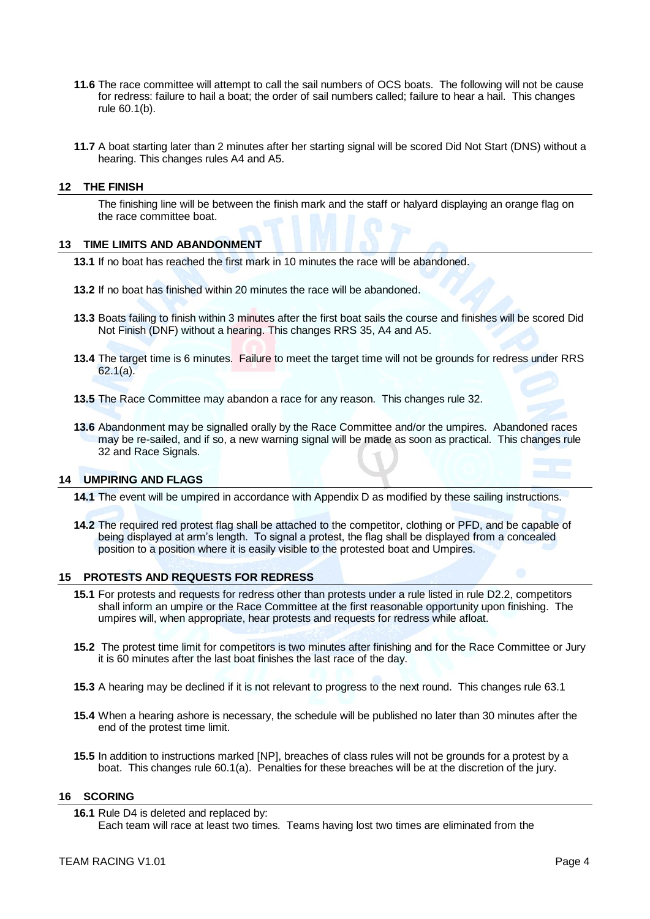- **11.6** The race committee will attempt to call the sail numbers of OCS boats. The following will not be cause for redress: failure to hail a boat; the order of sail numbers called; failure to hear a hail. This changes rule 60.1(b).
- **11.7** A boat starting later than 2 minutes after her starting signal will be scored Did Not Start (DNS) without a hearing. This changes rules A4 and A5.

#### **12 THE FINISH**

The finishing line will be between the finish mark and the staff or halyard displaying an orange flag on the race committee boat.

#### **13 TIME LIMITS AND ABANDONMENT**

**13.1** If no boat has reached the first mark in 10 minutes the race will be abandoned.

- **13.2** If no boat has finished within 20 minutes the race will be abandoned.
- **13.3** Boats failing to finish within 3 minutes after the first boat sails the course and finishes will be scored Did Not Finish (DNF) without a hearing. This changes RRS 35, A4 and A5.
- **13.4** The target time is 6 minutes. Failure to meet the target time will not be grounds for redress under RRS 62.1(a).
- **13.5** The Race Committee may abandon a race for any reason. This changes rule 32.
- **13.6** Abandonment may be signalled orally by the Race Committee and/or the umpires. Abandoned races may be re-sailed, and if so, a new warning signal will be made as soon as practical. This changes rule 32 and Race Signals.

#### **14 UMPIRING AND FLAGS**

- **14.1** The event will be umpired in accordance with Appendix D as modified by these sailing instructions.
- **14.2** The required red protest flag shall be attached to the competitor, clothing or PFD, and be capable of being displayed at arm's length. To signal a protest, the flag shall be displayed from a concealed position to a position where it is easily visible to the protested boat and Umpires.

#### **15 PROTESTS AND REQUESTS FOR REDRESS**

- **15.1** For protests and requests for redress other than protests under a rule listed in rule D2.2, competitors shall inform an umpire or the Race Committee at the first reasonable opportunity upon finishing. The umpires will, when appropriate, hear protests and requests for redress while afloat.
- **15.2** The protest time limit for competitors is two minutes after finishing and for the Race Committee or Jury it is 60 minutes after the last boat finishes the last race of the day.
- **15.3** A hearing may be declined if it is not relevant to progress to the next round. This changes rule 63.1
- **15.4** When a hearing ashore is necessary, the schedule will be published no later than 30 minutes after the end of the protest time limit.
- **15.5** In addition to instructions marked [NP], breaches of class rules will not be grounds for a protest by a boat. This changes rule 60.1(a). Penalties for these breaches will be at the discretion of the jury.

#### **16 SCORING**

**<sup>16.1</sup>** Rule D4 is deleted and replaced by: Each team will race at least two times. Teams having lost two times are eliminated from the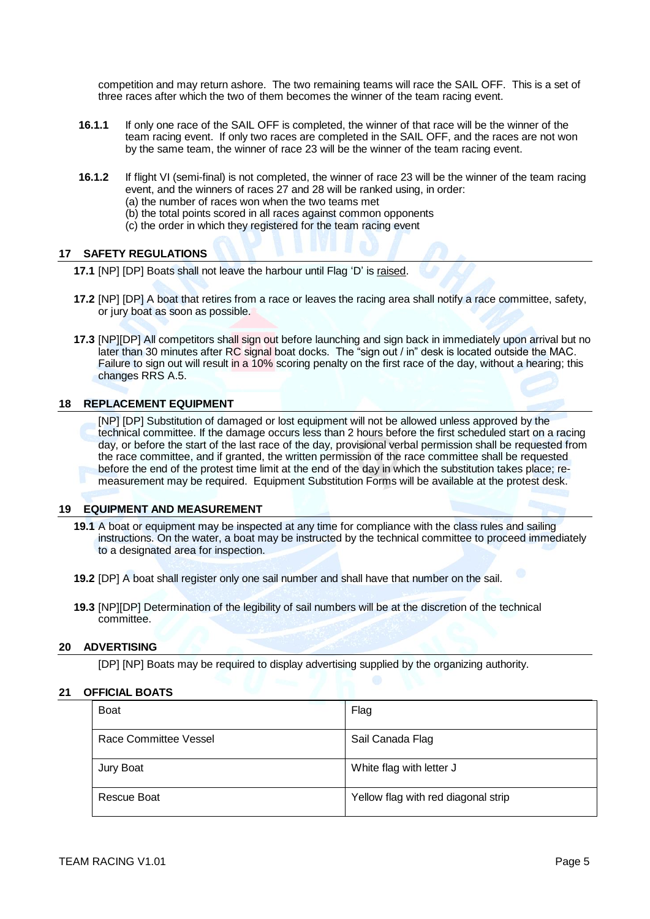competition and may return ashore. The two remaining teams will race the SAIL OFF. This is a set of three races after which the two of them becomes the winner of the team racing event.

- **16.1.1** If only one race of the SAIL OFF is completed, the winner of that race will be the winner of the team racing event. If only two races are completed in the SAIL OFF, and the races are not won by the same team, the winner of race 23 will be the winner of the team racing event.
- **16.1.2** If flight VI (semi-final) is not completed, the winner of race 23 will be the winner of the team racing event, and the winners of races 27 and 28 will be ranked using, in order: (a) the number of races won when the two teams met
	- (b) the total points scored in all races against common opponents
	- (c) the order in which they registered for the team racing event

### **17 SAFETY REGULATIONS**

**17.1** [NP] [DP] Boats shall not leave the harbour until Flag 'D' is raised.

- **17.2** [NP] [DP] A boat that retires from a race or leaves the racing area shall notify a race committee, safety, or jury boat as soon as possible.
- **17.3** [NP][DP] All competitors shall sign out before launching and sign back in immediately upon arrival but no later than 30 minutes after RC signal boat docks. The "sign out / in" desk is located outside the MAC. Failure to sign out will result in a 10% scoring penalty on the first race of the day, without a hearing; this changes RRS A.5.

### **18 REPLACEMENT EQUIPMENT**

[NP] [DP] Substitution of damaged or lost equipment will not be allowed unless approved by the technical committee. If the damage occurs less than 2 hours before the first scheduled start on a racing day, or before the start of the last race of the day, provisional verbal permission shall be requested from the race committee, and if granted, the written permission of the race committee shall be requested before the end of the protest time limit at the end of the day in which the substitution takes place; remeasurement may be required. Equipment Substitution Forms will be available at the protest desk.

#### **19 EQUIPMENT AND MEASUREMENT**

- **19.1** A boat or equipment may be inspected at any time for compliance with the class rules and sailing instructions. On the water, a boat may be instructed by the technical committee to proceed immediately to a designated area for inspection.
- **19.2** [DP] A boat shall register only one sail number and shall have that number on the sail.
- **19.3** [NP][DP] Determination of the legibility of sail numbers will be at the discretion of the technical committee.

#### **20 ADVERTISING**

[DP] [NP] Boats may be required to display advertising supplied by the organizing authority.

#### **21 OFFICIAL BOATS**

| <b>Boat</b>           | Flag                                |
|-----------------------|-------------------------------------|
| Race Committee Vessel | Sail Canada Flag                    |
| Jury Boat             | White flag with letter J            |
| Rescue Boat           | Yellow flag with red diagonal strip |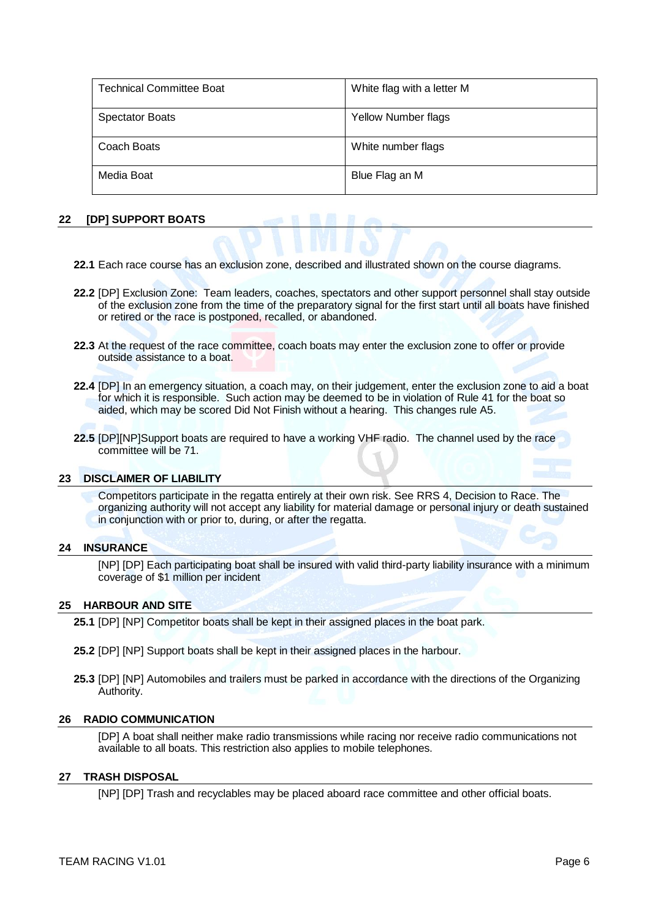| <b>Technical Committee Boat</b> | White flag with a letter M |
|---------------------------------|----------------------------|
| <b>Spectator Boats</b>          | <b>Yellow Number flags</b> |
| Coach Boats                     | White number flags         |
| Media Boat                      | Blue Flag an M             |

#### **22 [DP] SUPPORT BOATS**

- **22.1** Each race course has an exclusion zone, described and illustrated shown on the course diagrams.
- **22.2** [DP] Exclusion Zone: Team leaders, coaches, spectators and other support personnel shall stay outside of the exclusion zone from the time of the preparatory signal for the first start until all boats have finished or retired or the race is postponed, recalled, or abandoned.
- **22.3** At the request of the race committee, coach boats may enter the exclusion zone to offer or provide outside assistance to a boat.
- **22.4** [DP] In an emergency situation, a coach may, on their judgement, enter the exclusion zone to aid a boat for which it is responsible. Such action may be deemed to be in violation of Rule 41 for the boat so aided, which may be scored Did Not Finish without a hearing. This changes rule A5.
- **22.5** [DP][NP]Support boats are required to have a working VHF radio. The channel used by the race committee will be 71.

#### **23 DISCLAIMER OF LIABILITY**

Competitors participate in the regatta entirely at their own risk. See RRS 4, Decision to Race. The organizing authority will not accept any liability for material damage or personal injury or death sustained in conjunction with or prior to, during, or after the regatta.

#### **24 INSURANCE**

[NP] [DP] Each participating boat shall be insured with valid third-party liability insurance with a minimum coverage of \$1 million per incident

#### **25 HARBOUR AND SITE**

**25.1** [DP] [NP] Competitor boats shall be kept in their assigned places in the boat park.

- **25.2** [DP] [NP] Support boats shall be kept in their assigned places in the harbour.
- **25.3** [DP] [NP] Automobiles and trailers must be parked in accordance with the directions of the Organizing Authority.

#### **26 RADIO COMMUNICATION**

[DP] A boat shall neither make radio transmissions while racing nor receive radio communications not available to all boats. This restriction also applies to mobile telephones.

#### **27 TRASH DISPOSAL**

[NP] [DP] Trash and recyclables may be placed aboard race committee and other official boats.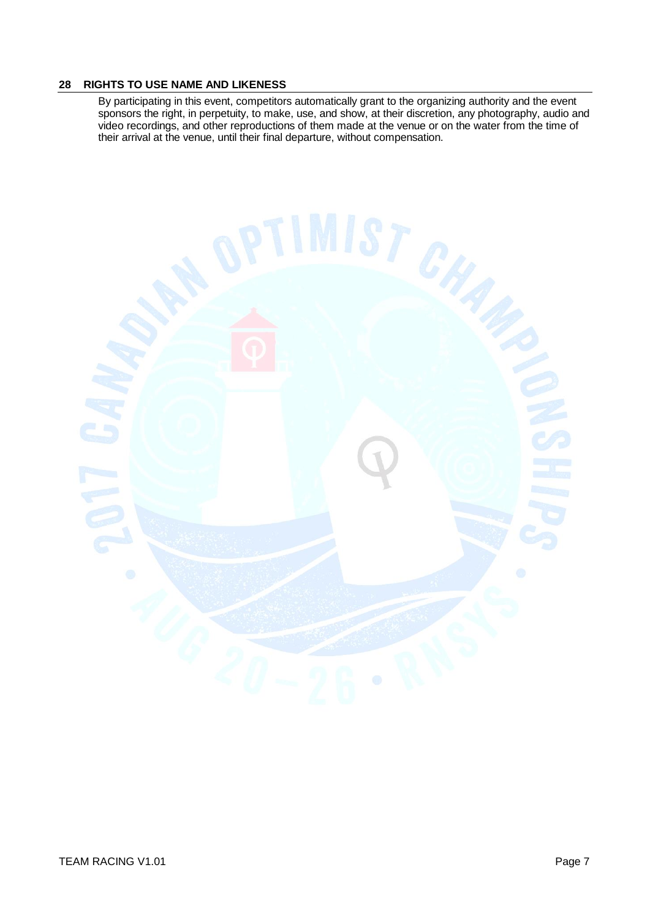#### **28 RIGHTS TO USE NAME AND LIKENESS**

By participating in this event, competitors automatically grant to the organizing authority and the event sponsors the right, in perpetuity, to make, use, and show, at their discretion, any photography, audio and video recordings, and other reproductions of them made at the venue or on the water from the time of their arrival at the venue, until their final departure, without compensation.

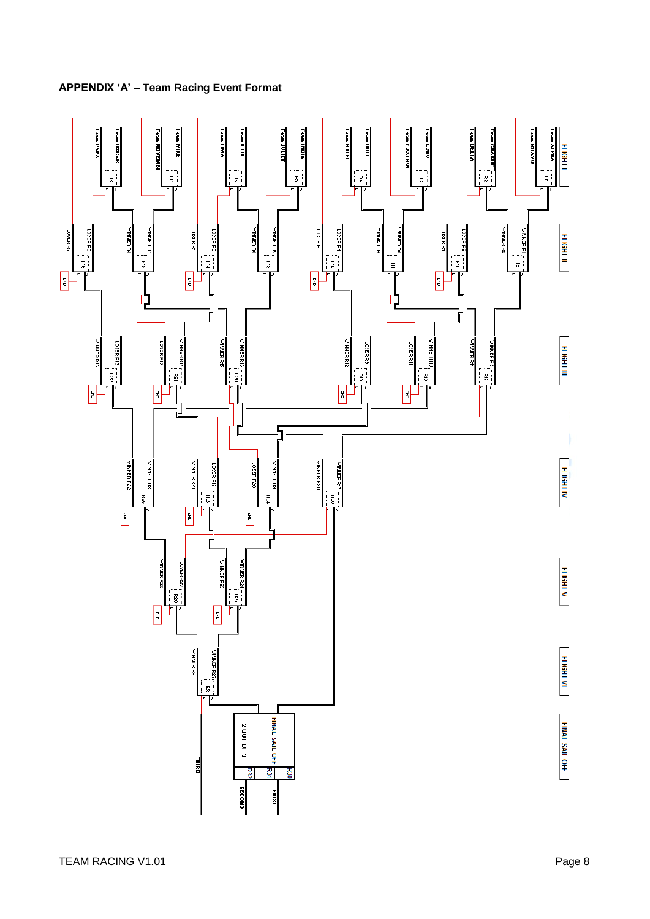